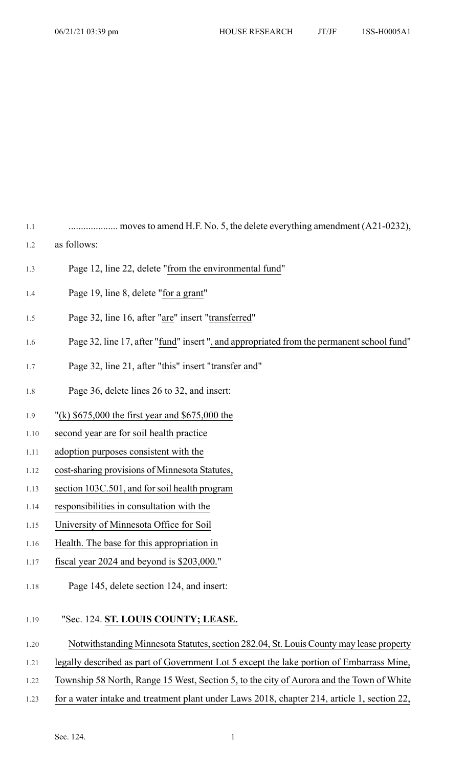1.1 .................... moves to amend H.F. No. 5, the delete everything amendment (A21-0232),

- 1.2 as follows:
- 1.3 Page 12, line 22, delete "from the environmental fund"
- 1.4 Page 19, line 8, delete "for a grant"
- 1.5 Page 32, line 16, after "are" insert "transferred"
- 1.6 Page 32, line 17, after "fund" insert ", and appropriated from the permanent school fund"
- 1.7 Page 32, line 21, after "this" insert "transfer and"
- 1.8 Page 36, delete lines 26 to 32, and insert:
- 1.9 "(k) \$675,000 the first year and \$675,000 the
- 1.10 second year are for soil health practice
- 1.11 adoption purposes consistent with the
- 1.12 cost-sharing provisions of Minnesota Statutes,
- 1.13 section 103C.501, and forsoil health program
- 1.14 responsibilities in consultation with the
- 1.15 University of Minnesota Office for Soil
- 1.16 Health. The base for this appropriation in
- 1.17 fiscal year 2024 and beyond is \$203,000."
- 1.18 Page 145, delete section 124, and insert:

## 1.19 "Sec. 124. **ST. LOUIS COUNTY; LEASE.**

- 1.20 Notwithstanding Minnesota Statutes, section 282.04, St. Louis County may lease property
- 1.21 legally described as part of Government Lot 5 except the lake portion of Embarrass Mine,
- 1.22 Township 58 North, Range 15 West, Section 5, to the city of Aurora and the Town of White
- 1.23 for a water intake and treatment plant under Laws 2018, chapter 214, article 1, section 22,